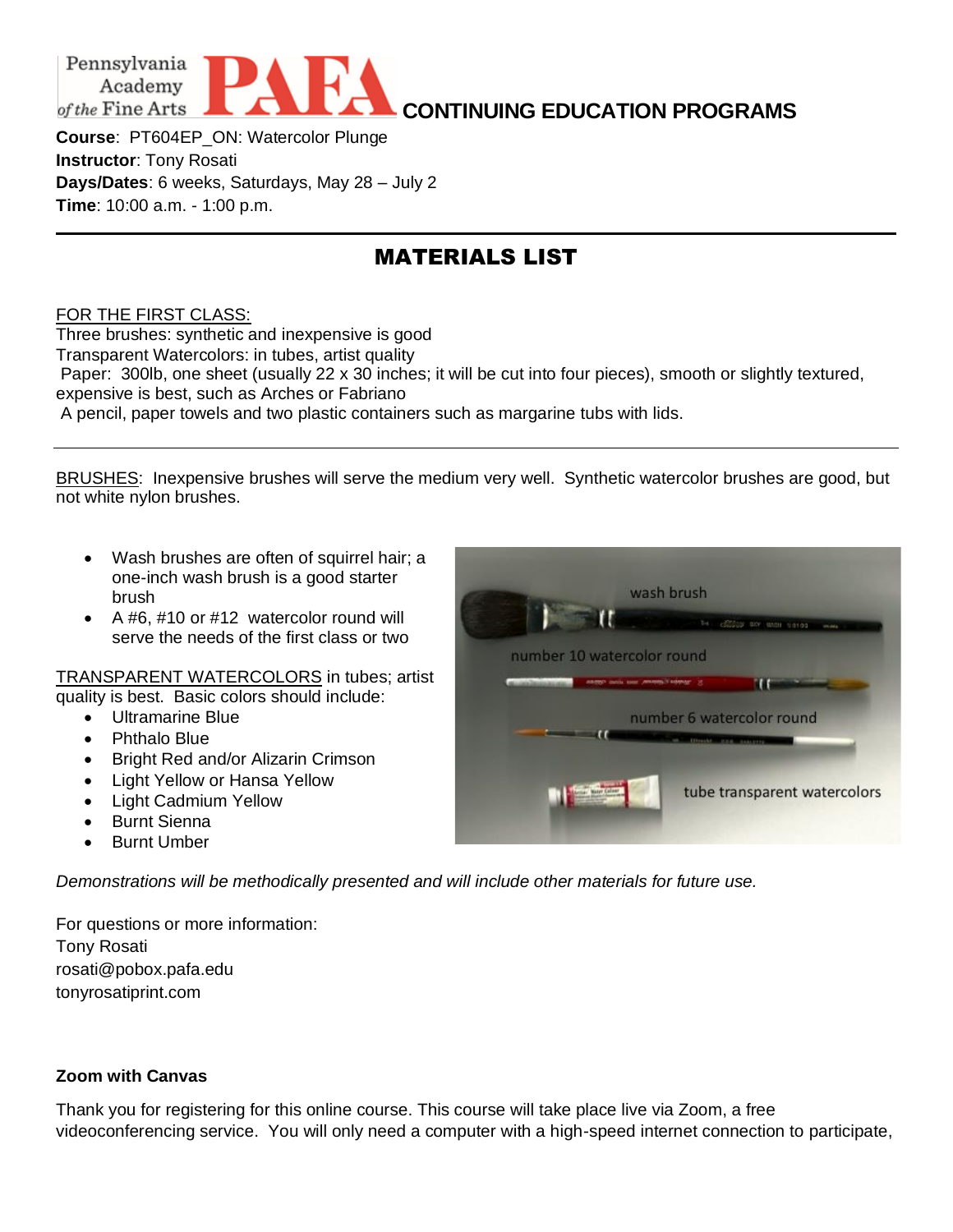

**CONTINUING EDUCATION PROGRAMS**

**Course**: PT604EP\_ON: Watercolor Plunge **Instructor**: Tony Rosati **Days/Dates**: 6 weeks, Saturdays, May 28 – July 2 **Time**: 10:00 a.m. - 1:00 p.m.

## MATERIALS LIST

## FOR THE FIRST CLASS:

Three brushes: synthetic and inexpensive is good Transparent Watercolors: in tubes, artist quality Paper: 300lb, one sheet (usually 22 x 30 inches; it will be cut into four pieces), smooth or slightly textured, expensive is best, such as Arches or Fabriano A pencil, paper towels and two plastic containers such as margarine tubs with lids.

BRUSHES: Inexpensive brushes will serve the medium very well. Synthetic watercolor brushes are good, but not white nylon brushes.

- Wash brushes are often of squirrel hair; a one-inch wash brush is a good starter brush
- A #6, #10 or #12 watercolor round will serve the needs of the first class or two

TRANSPARENT WATERCOLORS in tubes; artist quality is best. Basic colors should include:

- Ultramarine Blue
- Phthalo Blue
- Bright Red and/or Alizarin Crimson
- Light Yellow or Hansa Yellow
- Light Cadmium Yellow
- Burnt Sienna
- Burnt Umber

*Demonstrations will be methodically presented and will include other materials for future use.*

For questions or more information: Tony Rosati rosati@pobox.pafa.edu tonyrosatiprint.com

## **Zoom with Canvas**

Thank you for registering for this online course. This course will take place live via Zoom, a free videoconferencing service. You will only need a computer with a high-speed internet connection to participate,